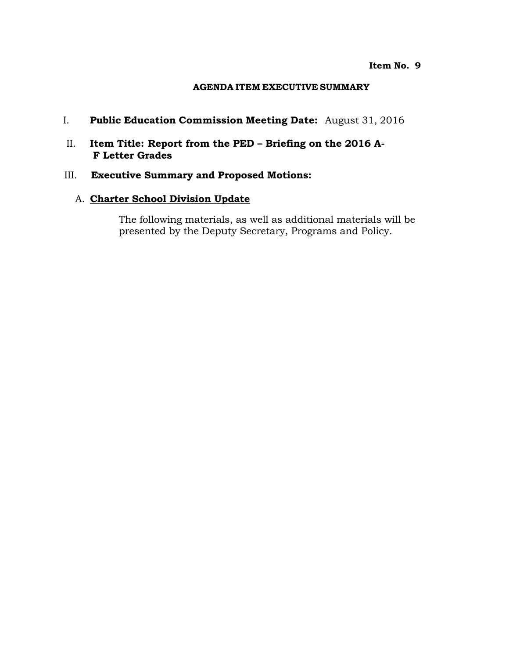#### **Item No. 9**

#### **AGENDA ITEM EXECUTIVE SUMMARY**

- I. **Public Education Commission Meeting Date:** August 31, 2016
- II. **Item Title: Report from the PED – Briefing on the 2016 A-F Letter Grades**
- III. **Executive Summary and Proposed Motions:**

#### A. **Charter School Division Update**

The following materials, as well as additional materials will be presented by the Deputy Secretary, Programs and Policy.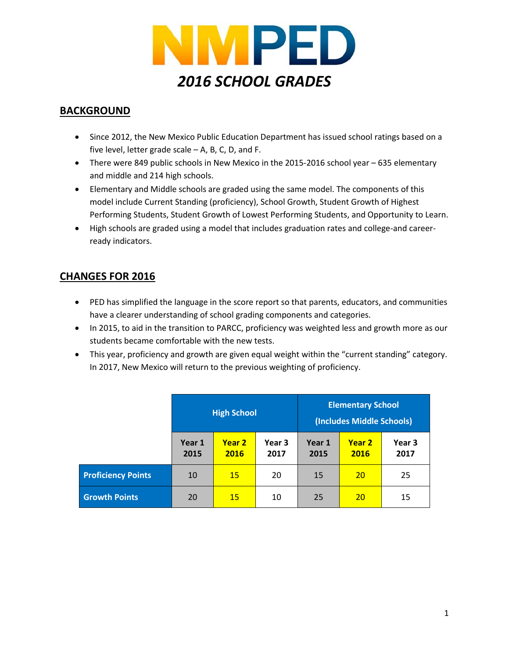

#### **BACKGROUND**

- Since 2012, the New Mexico Public Education Department has issued school ratings based on a five level, letter grade scale – A, B, C, D, and F.
- There were 849 public schools in New Mexico in the 2015-2016 school year 635 elementary and middle and 214 high schools.
- Elementary and Middle schools are graded using the same model. The components of this model include Current Standing (proficiency), School Growth, Student Growth of Highest Performing Students, Student Growth of Lowest Performing Students, and Opportunity to Learn.
- High schools are graded using a model that includes graduation rates and college-and careerready indicators.

#### **CHANGES FOR 2016**

- PED has simplified the language in the score report so that parents, educators, and communities have a clearer understanding of school grading components and categories.
- In 2015, to aid in the transition to PARCC, proficiency was weighted less and growth more as our students became comfortable with the new tests.
- This year, proficiency and growth are given equal weight within the "current standing" category. In 2017, New Mexico will return to the previous weighting of proficiency.

|                           | <b>High School</b> |                       | <b>Elementary School</b><br>(Includes Middle Schools) |                |                |                |
|---------------------------|--------------------|-----------------------|-------------------------------------------------------|----------------|----------------|----------------|
|                           | Year 1<br>2015     | <b>Year 2</b><br>2016 | Year 3<br>2017                                        | Year 1<br>2015 | Year 2<br>2016 | Year 3<br>2017 |
| <b>Proficiency Points</b> | 10                 | <b>15</b>             | 20                                                    | 15             | 20             | 25             |
| <b>Growth Points</b>      | 20                 | <b>15</b>             | 10                                                    | 25             | <b>20</b>      | 15             |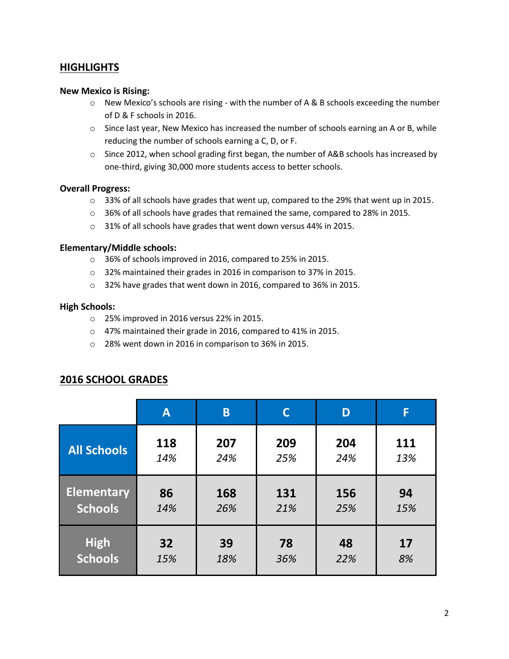#### **HIGHLIGHTS**

#### **New Mexico is Rising:**

- $\circ$  New Mexico's schools are rising with the number of A & B schools exceeding the number of D & F schools in 2016.
- o Since last year, New Mexico has increased the number of schools earning an A or B, while reducing the number of schools earning a C, D, or F.
- $\circ$  Since 2012, when school grading first began, the number of A&B schools has increased by one-third, giving 30,000 more students access to better schools.

#### **Overall Progress:**

- $\circ$  33% of all schools have grades that went up, compared to the 29% that went up in 2015.
- o 36% of all schools have grades that remained the same, compared to 28% in 2015.
- o 31% of all schools have grades that went down versus 44% in 2015.

#### **Elementary/Middle schools:**

- o 36% of schools improved in 2016, compared to 25% in 2015.
- o 32% maintained their grades in 2016 in comparison to 37% in 2015.
- o 32% have grades that went down in 2016, compared to 36% in 2015.

#### **High Schools:**

- o 25% improved in 2016 versus 22% in 2015.
- o 47% maintained their grade in 2016, compared to 41% in 2015.
- o 28% went down in 2016 in comparison to 36% in 2015.

|                    | $\mathsf{A}$ | B   |     | D   | F   |
|--------------------|--------------|-----|-----|-----|-----|
| <b>All Schools</b> | 118          | 207 | 209 | 204 | 111 |
|                    | 14%          | 24% | 25% | 24% | 13% |
| <b>Elementary</b>  | 86           | 168 | 131 | 156 | 94  |
| <b>Schools</b>     | 14%          | 26% | 21% | 25% | 15% |
| <b>High</b>        | 32           | 39  | 78  | 48  | 17  |
| <b>Schools</b>     | 15%          | 18% | 36% | 22% | 8%  |

#### **2016 SCHOOL GRADES**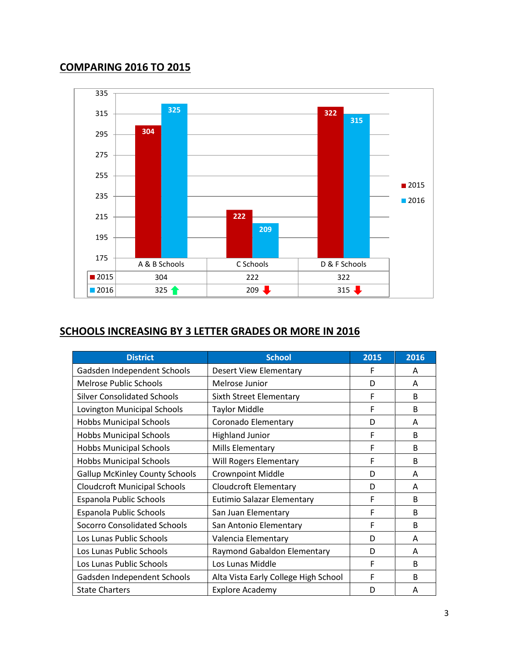#### **COMPARING 2016 TO 2015**



#### **SCHOOLS INCREASING BY 3 LETTER GRADES OR MORE IN 2016**

| <b>District</b>                       | <b>School</b>                        | 2015 | 2016         |
|---------------------------------------|--------------------------------------|------|--------------|
| Gadsden Independent Schools           | <b>Desert View Elementary</b>        | F    | A            |
| <b>Melrose Public Schools</b>         | Melrose Junior                       | D    | A            |
| <b>Silver Consolidated Schools</b>    | Sixth Street Elementary              | F    | <sub>B</sub> |
| Lovington Municipal Schools           | <b>Taylor Middle</b>                 | F    | <sub>B</sub> |
| <b>Hobbs Municipal Schools</b>        | Coronado Elementary                  | D    | A            |
| <b>Hobbs Municipal Schools</b>        | <b>Highland Junior</b>               | F    | <sub>B</sub> |
| <b>Hobbs Municipal Schools</b>        | Mills Elementary                     | F    | <sub>B</sub> |
| <b>Hobbs Municipal Schools</b>        | Will Rogers Elementary               | F    | <sub>B</sub> |
| <b>Gallup McKinley County Schools</b> | <b>Crownpoint Middle</b>             | D    | A            |
| <b>Cloudcroft Municipal Schools</b>   | <b>Cloudcroft Elementary</b>         | D    | A            |
| Espanola Public Schools               | Eutimio Salazar Elementary           | F    | <sub>B</sub> |
| Espanola Public Schools               | San Juan Elementary                  | F    | <sub>B</sub> |
| <b>Socorro Consolidated Schools</b>   | San Antonio Elementary               | F    | <sub>B</sub> |
| Los Lunas Public Schools              | Valencia Elementary                  | D    | A            |
| Los Lunas Public Schools              | Raymond Gabaldon Elementary          | D    | A            |
| Los Lunas Public Schools              | Los Lunas Middle                     | F    | <sub>B</sub> |
| Gadsden Independent Schools           | Alta Vista Early College High School | F    | <sub>B</sub> |
| <b>State Charters</b>                 | <b>Explore Academy</b>               | D    | A            |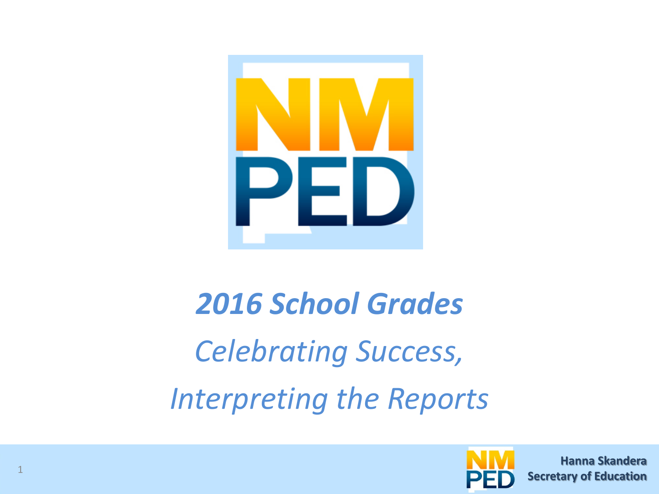

# *2016 School Grades Celebrating Success, Interpreting the Reports*



**Hanna Skandera Hanna Skandera Secretary of Education Secretary of Education**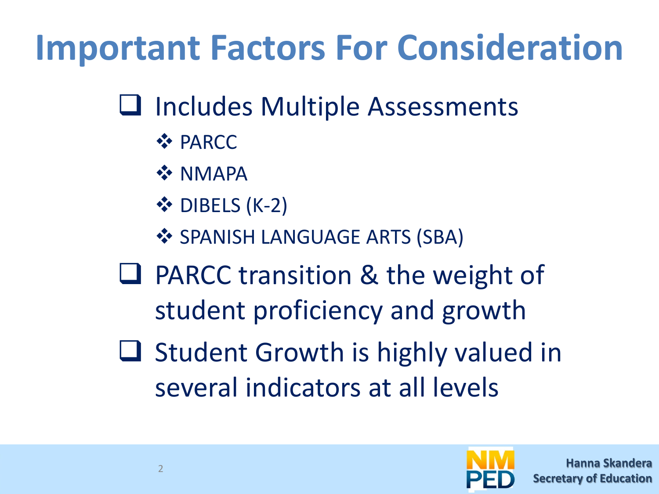# **Important Factors For Consideration**

## **□** Includes Multiple Assessments

- **☆ PARCC**
- **\*** NMAPA
- ❖ DIBELS (K-2)
- **❖ SPANISH LANGUAGE ARTS (SBA)**
- **□ PARCC transition & the weight of** student proficiency and growth
- $\Box$  Student Growth is highly valued in several indicators at all levels

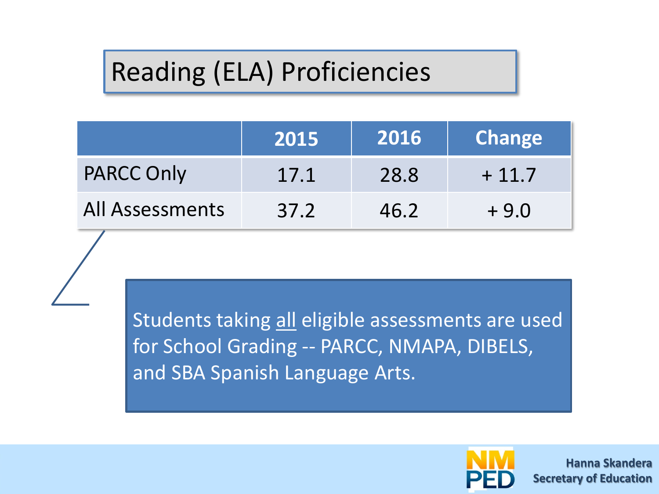## Reading (ELA) Proficiencies

|                   | 2015 | 2016 | <b>Change</b> |
|-------------------|------|------|---------------|
| <b>PARCC Only</b> | 17.1 | 28.8 | $+11.7$       |
| All Assessments   | 37.2 | 46.2 | $+9.0$        |

Students taking all eligible assessments are used for School Grading -- PARCC, NMAPA, DIBELS, and SBA Spanish Language Arts.



**Hanna Skandera Secretary of Education**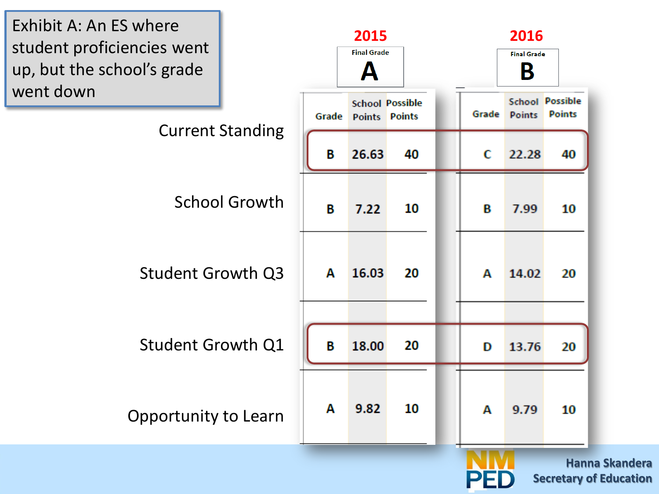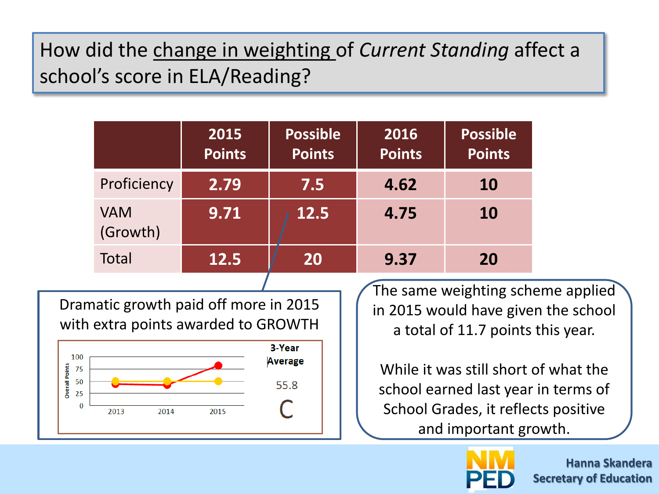### How did the change in weighting of *Current Standing* affect a school's score in ELA/Reading?

|                        | 2015<br><b>Points</b> | <b>Possible</b><br><b>Points</b> | 2016<br><b>Points</b> | <b>Possible</b><br><b>Points</b> |
|------------------------|-----------------------|----------------------------------|-----------------------|----------------------------------|
| Proficiency            | 2.79                  | 7.5                              | 4.62                  | <b>10</b>                        |
| <b>VAM</b><br>(Growth) | 9.71                  | 12.5                             | 4.75                  | <b>10</b>                        |
| <b>Total</b>           | 12.5                  | 20                               | 9.37                  | 20                               |
|                        |                       |                                  |                       |                                  |

Dramatic growth paid off more in 2015 with extra points awarded to GROWTH



The same weighting scheme applied in 2015 would have given the school a total of 11.7 points this year.

While it was still short of what the school earned last year in terms of School Grades, it reflects positive and important growth.



**Hanna Skandera Secretary of Education**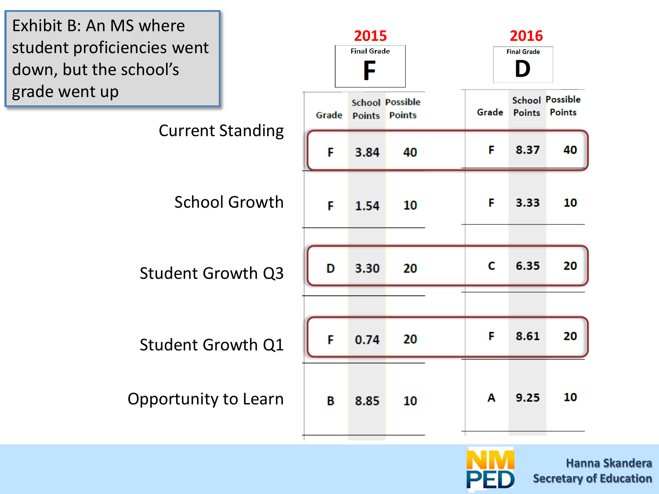

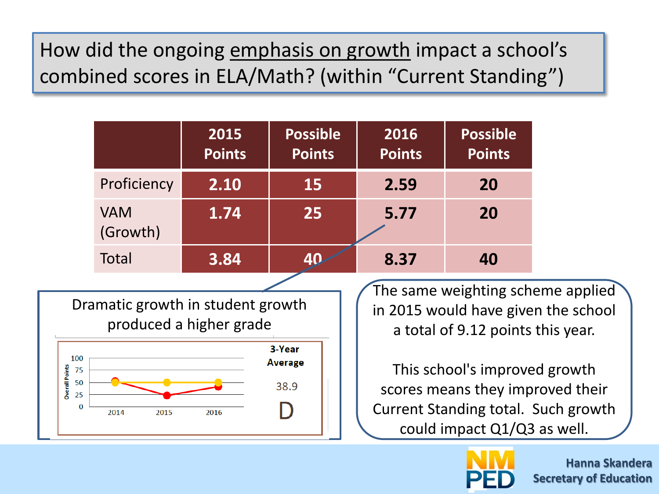### How did the ongoing emphasis on growth impact a school's combined scores in ELA/Math? (within "Current Standing")

|                                   |                                   | 2015<br><b>Points</b>   | <b>Possible</b><br><b>Points</b> | 2016<br><b>Points</b>                                                                                         | <b>Possible</b><br><b>Points</b>                                                                                                        |  |
|-----------------------------------|-----------------------------------|-------------------------|----------------------------------|---------------------------------------------------------------------------------------------------------------|-----------------------------------------------------------------------------------------------------------------------------------------|--|
|                                   | Proficiency                       | 2.10                    | 15                               | 2.59                                                                                                          | 20                                                                                                                                      |  |
|                                   | <b>VAM</b><br>(Growth)            | 1.74                    | 25                               | 5.77                                                                                                          | 20                                                                                                                                      |  |
|                                   | Total                             | 3.84                    | 40                               | 8.37                                                                                                          | 40                                                                                                                                      |  |
|                                   | Dramatic growth in student growth | produced a higher grade |                                  | The same weighting scheme applied<br>in 2015 would have given the school<br>a total of 9.12 points this year. |                                                                                                                                         |  |
| 100<br>75<br>50<br>25<br>$\bf{0}$ | 2015<br>2014                      | 2016                    | 3-Year<br><b>Average</b><br>38.9 |                                                                                                               | This school's improved growth<br>scores means they improved their<br>Current Standing total. Such growth<br>could impact Q1/Q3 as well. |  |

**Overall Points** 



**Hanna Skandera Secretary of Education**